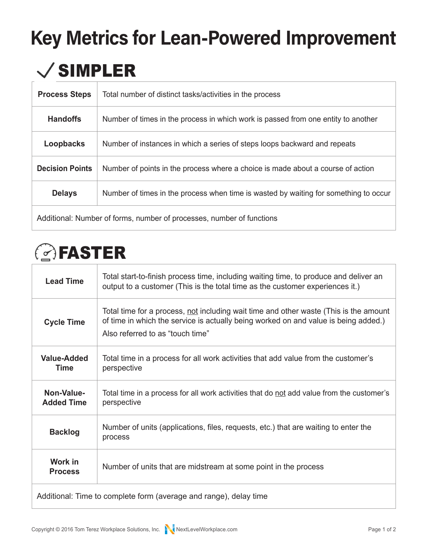## **Key Metrics for Lean-Powered Improvement**

### $\checkmark$  SIMPLER

| <b>Process Steps</b>                                                  | Total number of distinct tasks/activities in the process                             |  |
|-----------------------------------------------------------------------|--------------------------------------------------------------------------------------|--|
| <b>Handoffs</b>                                                       | Number of times in the process in which work is passed from one entity to another    |  |
| Loopbacks                                                             | Number of instances in which a series of steps loops backward and repeats            |  |
| <b>Decision Points</b>                                                | Number of points in the process where a choice is made about a course of action      |  |
| <b>Delays</b>                                                         | Number of times in the process when time is wasted by waiting for something to occur |  |
| Additional: Number of forms, number of processes, number of functions |                                                                                      |  |

## *C*FASTER

| <b>Lead Time</b>                                                  | Total start-to-finish process time, including waiting time, to produce and deliver an<br>output to a customer (This is the total time as the customer experiences it.)                                           |  |
|-------------------------------------------------------------------|------------------------------------------------------------------------------------------------------------------------------------------------------------------------------------------------------------------|--|
| <b>Cycle Time</b>                                                 | Total time for a process, not including wait time and other waste (This is the amount<br>of time in which the service is actually being worked on and value is being added.)<br>Also referred to as "touch time" |  |
| <b>Value-Added</b><br><b>Time</b>                                 | Total time in a process for all work activities that add value from the customer's<br>perspective                                                                                                                |  |
| Non-Value-<br><b>Added Time</b>                                   | Total time in a process for all work activities that do <u>not</u> add value from the customer's<br>perspective                                                                                                  |  |
| <b>Backlog</b>                                                    | Number of units (applications, files, requests, etc.) that are waiting to enter the<br>process                                                                                                                   |  |
| Work in<br><b>Process</b>                                         | Number of units that are midstream at some point in the process                                                                                                                                                  |  |
| Additional: Time to complete form (average and range), delay time |                                                                                                                                                                                                                  |  |

Copyright © 2016 [Tom Terez Workplace Solutions, Inc](http://NextLevelWorkplace.com). [NextLevelWorkplace.com](http://NextLevelWorkplace.com) example to the Page 1 of 2